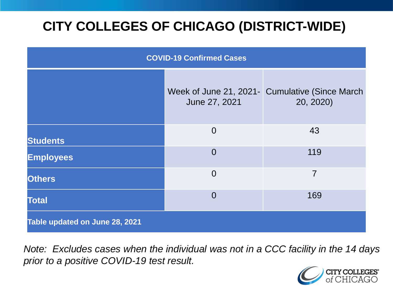# **CITY COLLEGES OF CHICAGO (DISTRICT-WIDE)**

| <b>COVID-19 Confirmed Cases</b> |                |                                                             |
|---------------------------------|----------------|-------------------------------------------------------------|
|                                 | June 27, 2021  | Week of June 21, 2021- Cumulative (Since March<br>20, 2020) |
| <b>Students</b>                 | $\overline{0}$ | 43                                                          |
| <b>Employees</b>                | $\Omega$       | 119                                                         |
| <b>Others</b>                   | $\Omega$       | $\overline{7}$                                              |
| <b>Total</b>                    | $\overline{0}$ | 169                                                         |
| Table updated on June 28, 2021  |                |                                                             |

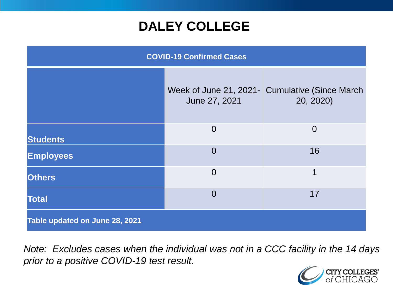### **DALEY COLLEGE**

| <b>COVID-19 Confirmed Cases</b> |                |                                                              |
|---------------------------------|----------------|--------------------------------------------------------------|
|                                 | June 27, 2021  | Week of June 21, 2021 - Cumulative (Since March<br>20, 2020) |
| <b>Students</b>                 | $\overline{0}$ | $\Omega$                                                     |
| <b>Employees</b>                | $\overline{0}$ | 16                                                           |
| <b>Others</b>                   | $\overline{0}$ | 1                                                            |
| <b>Total</b>                    | $\overline{0}$ | 17                                                           |
| Table updated on June 28, 2021  |                |                                                              |

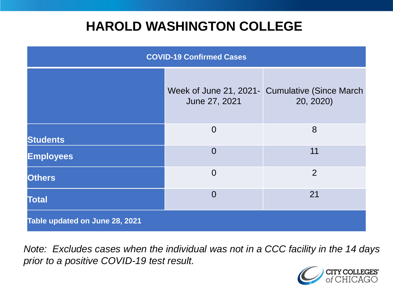### **HAROLD WASHINGTON COLLEGE**

| <b>COVID-19 Confirmed Cases</b> |                                         |                                              |
|---------------------------------|-----------------------------------------|----------------------------------------------|
|                                 | Week of June 21, 2021-<br>June 27, 2021 | <b>Cumulative (Since March)</b><br>20, 2020) |
| <b>Students</b>                 | $\overline{0}$                          | 8                                            |
| <b>Employees</b>                | $\Omega$                                | 11                                           |
| <b>Others</b>                   | $\overline{0}$                          | 2                                            |
| <b>Total</b>                    | $\Omega$                                | 21                                           |
| Table updated on June 28, 2021  |                                         |                                              |

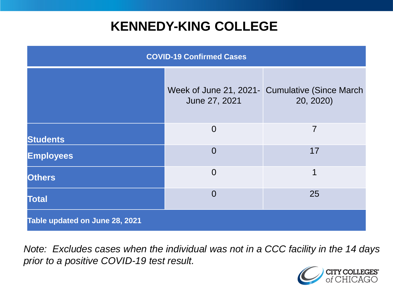## **KENNEDY-KING COLLEGE**

| <b>COVID-19 Confirmed Cases</b> |                |                                                             |
|---------------------------------|----------------|-------------------------------------------------------------|
|                                 | June 27, 2021  | Week of June 21, 2021- Cumulative (Since March<br>20, 2020) |
| <b>Students</b>                 | $\overline{0}$ | 7                                                           |
| <b>Employees</b>                | $\Omega$       | 17                                                          |
| <b>Others</b>                   | $\overline{0}$ | 1                                                           |
| <b>Total</b>                    | $\overline{0}$ | 25                                                          |
| Table updated on June 28, 2021  |                |                                                             |

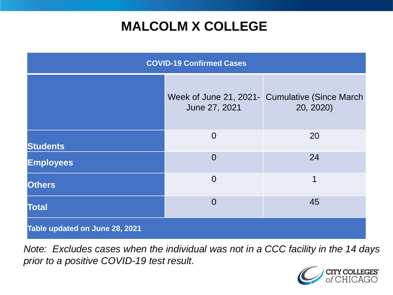## **MALCOLM X COLLEGE**

| <b>COVID-19 Confirmed Cases</b> |                |                                                              |
|---------------------------------|----------------|--------------------------------------------------------------|
|                                 | June 27, 2021  | Week of June 21, 2021 - Cumulative (Since March<br>20, 2020) |
| <b>Students</b>                 | $\overline{0}$ | 20                                                           |
| <b>Employees</b>                | $\Omega$       | 24                                                           |
| <b>Others</b>                   | $\overline{0}$ | 1                                                            |
| <b>Total</b>                    | $\overline{0}$ | 45                                                           |
| Table updated on June 28, 2021  |                |                                                              |

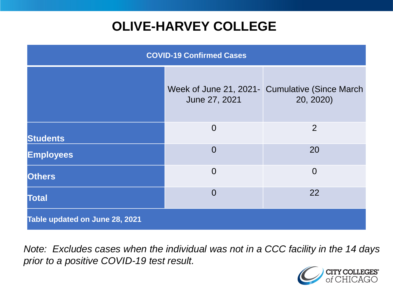# **OLIVE-HARVEY COLLEGE**

| <b>COVID-19 Confirmed Cases</b> |                |                                                              |
|---------------------------------|----------------|--------------------------------------------------------------|
|                                 | June 27, 2021  | Week of June 21, 2021 - Cumulative (Since March<br>20, 2020) |
| <b>Students</b>                 | $\overline{0}$ | 2                                                            |
| <b>Employees</b>                | $\Omega$       | 20                                                           |
| <b>Others</b>                   | $\overline{0}$ | $\overline{0}$                                               |
| <b>Total</b>                    | $\overline{0}$ | 22                                                           |
| Table updated on June 28, 2021  |                |                                                              |

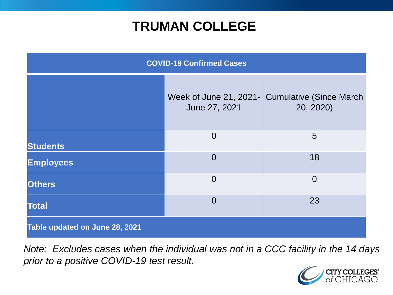### **TRUMAN COLLEGE**

| <b>COVID-19 Confirmed Cases</b> |                |                                                             |
|---------------------------------|----------------|-------------------------------------------------------------|
|                                 | June 27, 2021  | Week of June 21, 2021- Cumulative (Since March<br>20, 2020) |
| <b>Students</b>                 | $\overline{0}$ | 5                                                           |
| <b>Employees</b>                | $\overline{0}$ | 18                                                          |
| <b>Others</b>                   | $\overline{0}$ | $\overline{0}$                                              |
| <b>Total</b>                    | $\overline{0}$ | 23                                                          |
| Table updated on June 28, 2021  |                |                                                             |

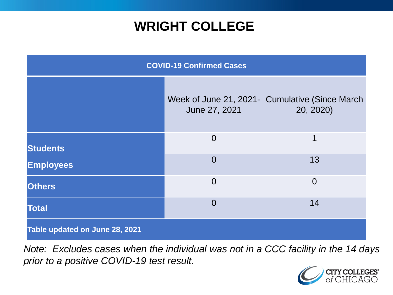### **WRIGHT COLLEGE**

| <b>COVID-19 Confirmed Cases</b> |                |                                                             |
|---------------------------------|----------------|-------------------------------------------------------------|
|                                 | June 27, 2021  | Week of June 21, 2021- Cumulative (Since March<br>20, 2020) |
| <b>Students</b>                 | $\overline{0}$ | 1                                                           |
| <b>Employees</b>                | $\overline{0}$ | 13                                                          |
| <b>Others</b>                   | $\overline{0}$ | $\overline{0}$                                              |
| <b>Total</b>                    | $\Omega$       | 14                                                          |
| Table updated on June 28, 2021  |                |                                                             |